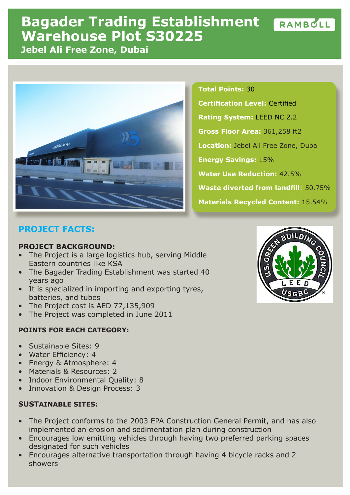# **Bagader Trading Establishment RAMBULL Warehouse Plot S30225 Jebel Ali Free Zone, Dubai**



**Total Points:** 30 **Certification Level:** Certified **Rating System:** LEED NC 2.2 **Gross Floor Area:** 361,258 ft2 **Location:** Jebel Ali Free Zone, Dubai **Energy Savings:** 15% **Water Use Reduction:** 42.5% **Waste diverted from landfill**: 50.75% **Materials Recycled Content:** 15.54%

# **PROJECT FACTS:**

## **PROJECT BACKGROUND:**

- The Project is a large logistics hub, serving Middle Eastern countries like KSA
- The Bagader Trading Establishment was started 40 years ago
- It is specialized in importing and exporting tyres, batteries, and tubes
- The Project cost is AED 77,135,909
- The Project was completed in June 2011

### **POINTS FOR EACH CATEGORY:**

- Sustainable Sites: 9
- **Water Efficiency: 4**
- Energy & Atmosphere: 4
- Materials & Resources: 2
- Indoor Environmental Quality: 8
- Innovation & Design Process: 3

### **SUSTAINABLE SITES:**

- The Project conforms to the 2003 EPA Construction General Permit, and has also implemented an erosion and sedimentation plan during construction
- Encourages low emitting vehicles through having two preferred parking spaces designated for such vehicles
- Encourages alternative transportation through having 4 bicycle racks and 2 showers